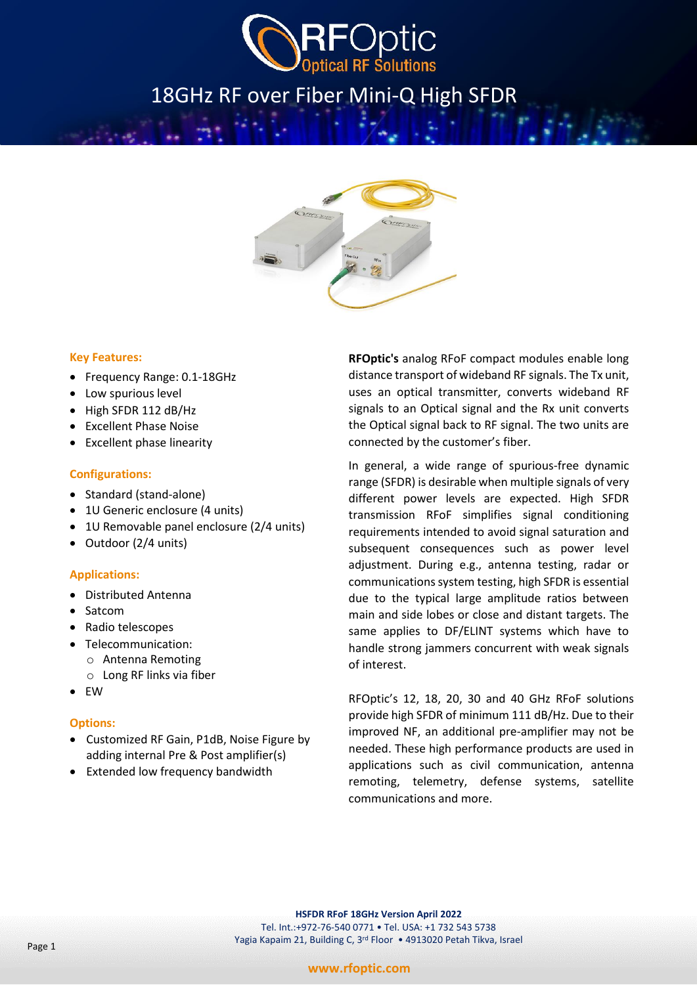

# 18GHz RF over Fiber Mini-Q High SFDR



#### **Key Features:**

- Frequency Range: 0.1-18GHz
- Low spurious level
- High SFDR 112 dB/Hz
- Excellent Phase Noise
- Excellent phase linearity

#### **Configurations:**

- Standard (stand-alone)
- 1U Generic enclosure (4 units)
- 1U Removable panel enclosure (2/4 units)
- Outdoor (2/4 units)

#### **Applications:**

- Distributed Antenna
- Satcom
- Radio telescopes
- Telecommunication:
	- o Antenna Remoting
	- o Long RF links via fiber
- EW
- **Options:**
- Customized RF Gain, P1dB, Noise Figure by adding internal Pre & Post amplifier(s)
- Extended low frequency bandwidth

**RFOptic's** analog RFoF compact modules enable long distance transport of wideband RF signals. The Tx unit, uses an optical transmitter, converts wideband RF signals to an Optical signal and the Rx unit converts the Optical signal back to RF signal. The two units are connected by the customer's fiber.

In general, a wide range of spurious-free dynamic range (SFDR) is desirable when multiple signals of very different power levels are expected. High SFDR transmission RFoF simplifies signal conditioning requirements intended to avoid signal saturation and subsequent consequences such as power level adjustment. During e.g., antenna testing, radar or communications system testing, high SFDR is essential due to the typical large amplitude ratios between main and side lobes or close and distant targets. The same applies to DF/ELINT systems which have to handle strong jammers concurrent with weak signals of interest.

RFOptic's 12, 18, 20, 30 and 40 GHz RFoF solutions provide high SFDR of minimum 111 dB/Hz. Due to their improved NF, an additional pre-amplifier may not be needed. These high performance products are used in applications such as civil communication, antenna remoting, telemetry, defense systems, satellite communications and more.

**HSFDR RFoF 18GHz Version April 2022** Tel. Int.:+972-76-540 0771 • Tel. USA: +1 732 543 5738 Yagia Kapaim 21, Building C, 3rd Floor • 4913020 Petah Tikva, Israel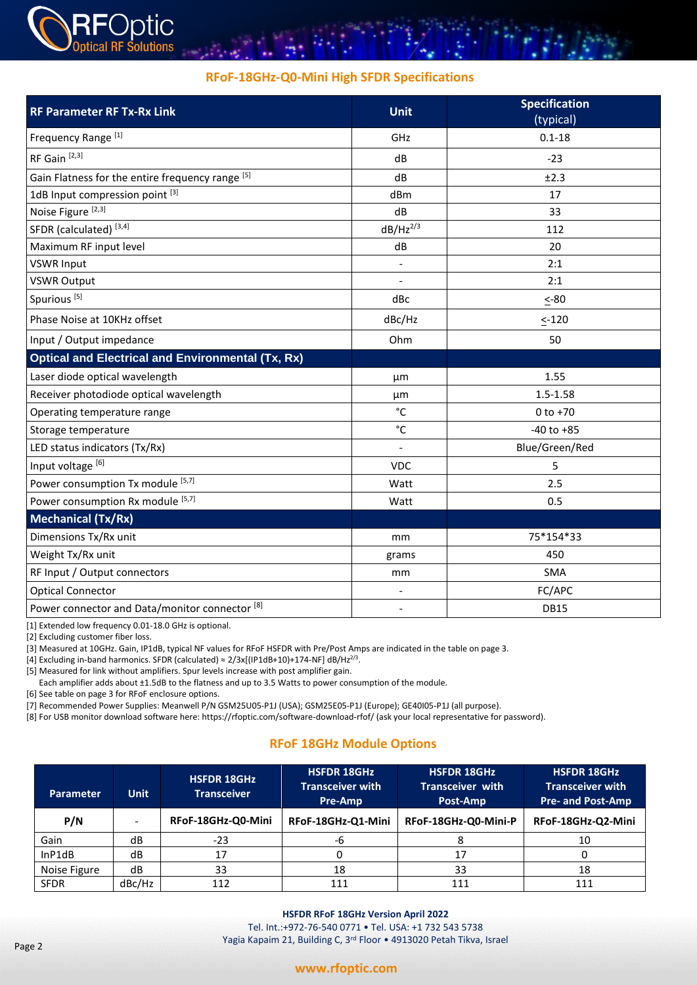

## **RFoF-18GHz-Q0-Mini High SFDR Specifications**

| <b>RF Parameter RF Tx-Rx Link</b>                         | <b>Unit</b>              | <b>Specification</b><br>(typical) |  |
|-----------------------------------------------------------|--------------------------|-----------------------------------|--|
| Frequency Range <sup>[1]</sup>                            | GHz                      | $0.1 - 18$                        |  |
| RF Gain <sup>[2,3]</sup>                                  | dB                       | $-23$                             |  |
| Gain Flatness for the entire frequency range [5]          | dB                       | ±2.3                              |  |
| 1dB Input compression point [3]                           | dBm                      | 17                                |  |
| Noise Figure <sup>[2,3]</sup>                             | dB                       | 33                                |  |
| SFDR (calculated) <sup>[3,4]</sup>                        | $dB/Hz^{2/3}$            | 112                               |  |
| Maximum RF input level                                    | dB                       | 20                                |  |
| <b>VSWR Input</b>                                         | $\overline{\phantom{a}}$ | 2:1                               |  |
| <b>VSWR Output</b>                                        |                          | 2:1                               |  |
| Spurious <sup>[5]</sup>                                   | dBc                      | $< -80$                           |  |
| Phase Noise at 10KHz offset                               | dBc/Hz                   | $\leq$ -120                       |  |
| Input / Output impedance                                  | Ohm                      | 50                                |  |
| <b>Optical and Electrical and Environmental (Tx, Rx)</b>  |                          |                                   |  |
| Laser diode optical wavelength                            | μm                       | 1.55                              |  |
| Receiver photodiode optical wavelength                    | $1.5 - 1.58$<br>μm       |                                   |  |
| Operating temperature range                               | °C                       | $0 to +70$                        |  |
| Storage temperature                                       | $^{\circ}$ C             | $-40$ to $+85$                    |  |
| LED status indicators (Tx/Rx)                             |                          | Blue/Green/Red                    |  |
| Input voltage [6]                                         | <b>VDC</b><br>5          |                                   |  |
| Power consumption Tx module [5,7]                         | 2.5<br>Watt              |                                   |  |
| Power consumption Rx module [5,7]                         | Watt                     | 0.5                               |  |
| <b>Mechanical (Tx/Rx)</b>                                 |                          |                                   |  |
| Dimensions Tx/Rx unit<br>mm                               |                          | 75*154*33                         |  |
| Weight Tx/Rx unit                                         | 450<br>grams             |                                   |  |
| RF Input / Output connectors                              | mm                       | SMA                               |  |
| <b>Optical Connector</b>                                  |                          | FC/APC                            |  |
| Power connector and Data/monitor connector <sup>[8]</sup> | $\overline{\phantom{a}}$ | <b>DB15</b>                       |  |

[1] Extended low frequency 0.01-18.0 GHz is optional.

[2] Excluding customer fiber loss.

[3] Measured at 10GHz. Gain, IP1dB, typical NF values for RFoF HSFDR with Pre/Post Amps are indicated in the table on page 3.

[4] Excluding in-band harmonics. SFDR (calculated)  $\approx 2/3x$ [(IP1dB+10)+174-NF] dB/Hz<sup>2/3</sup>.

[5] Measured for link without amplifiers. Spur levels increase with post amplifier gain.

Each amplifier adds about ±1.5dB to the flatness and up to 3.5 Watts to power consumption of the module.

[6] See table on page 3 for RFoF enclosure options.

[7] Recommended Power Supplies: Meanwell P/N GSM25U05-P1J (USA); GSM25E05-P1J (Europe); GE40I05-P1J (all purpose).

[8] For USB monitor download software here[: https://rfoptic.com/software-download-rfof/](https://rfoptic.com/software-download-rfof/) (ask your local representative for password).

## **RFoF 18GHz Module Options**

| <b>Parameter</b> | <b>Unit</b>              | <b>HSFDR 18GHz</b><br><b>Transceiver</b> | <b>HSFDR 18GHz</b><br><b>Transceiver with</b><br><b>Pre-Amp</b> | <b>HSFDR 18GHz</b><br><b>Transceiver with</b><br>Post-Amp | <b>HSFDR 18GHz</b><br><b>Transceiver with</b><br><b>Pre- and Post-Amp</b> |  |
|------------------|--------------------------|------------------------------------------|-----------------------------------------------------------------|-----------------------------------------------------------|---------------------------------------------------------------------------|--|
| P/N              | $\overline{\phantom{a}}$ | RFoF-18GHz-Q0-Mini                       | RFoF-18GHz-Q1-Mini                                              | RFoF-18GHz-Q0-Mini-P                                      | RFoF-18GHz-Q2-Mini                                                        |  |
| Gain             | dB                       | $-23$                                    | -6                                                              |                                                           | 10                                                                        |  |
| InP1dB           | dB                       | 17                                       |                                                                 | 17                                                        | υ                                                                         |  |
| Noise Figure     | dB                       | 33                                       | 18                                                              | 33                                                        | 18                                                                        |  |
| <b>SFDR</b>      | dBc/Hz                   | 112                                      | 111                                                             | 111                                                       | 111                                                                       |  |

#### **www.rfoptic.com**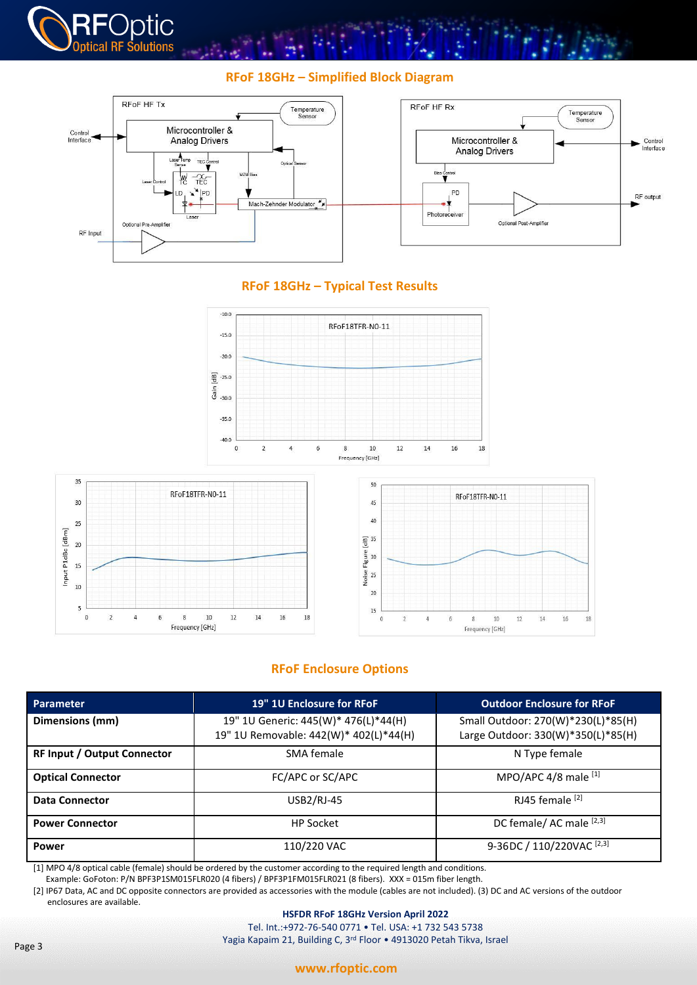

# **RFoF 18GHz – Simplified Block Diagram**



# **RFoF 18GHz – Typical Test Results**







# **RFoF Enclosure Options**

| <b>Parameter</b>                   | 19" 1U Enclosure for RFoF                                                      | <b>Outdoor Enclosure for RFoF</b>                                        |  |
|------------------------------------|--------------------------------------------------------------------------------|--------------------------------------------------------------------------|--|
| Dimensions (mm)                    | 19" 1U Generic: 445(W)* 476(L)*44(H)<br>19" 1U Removable: 442(W)* 402(L)*44(H) | Small Outdoor: 270(W)*230(L)*85(H)<br>Large Outdoor: 330(W)*350(L)*85(H) |  |
| <b>RF Input / Output Connector</b> | SMA female                                                                     | N Type female                                                            |  |
| <b>Optical Connector</b>           | FC/APC or SC/APC                                                               | MPO/APC $4/8$ male $^{[1]}$                                              |  |
| <b>Data Connector</b>              | <b>USB2/RJ-45</b>                                                              | RJ45 female <sup>[2]</sup>                                               |  |
| <b>Power Connector</b>             | <b>HP Socket</b>                                                               | DC female/AC male [2,3]                                                  |  |
| <b>Power</b>                       | 110/220 VAC                                                                    | 9-36DC / 110/220VAC <sup>[2,3]</sup>                                     |  |

[1] MPO 4/8 optical cable (female) should be ordered by the customer according to the required length and conditions. Example: GoFoton: P/N BPF3P1SM015FLR020 (4 fibers) / BPF3P1FM015FLR021 (8 fibers). XXX = 015m fiber length.

[2] IP67 Data, AC and DC opposite connectors are provided as accessories with the module (cables are not included). (3) DC and AC versions of the outdoor enclosures are available.

#### **HSFDR RFoF 18GHz Version April 2022**

Tel. Int.:+972-76-540 0771 • Tel. USA: +1 732 543 5738 Yagia Kapaim 21, Building C, 3rd Floor • 4913020 Petah Tikva, Israel

#### **www.rfoptic.com**